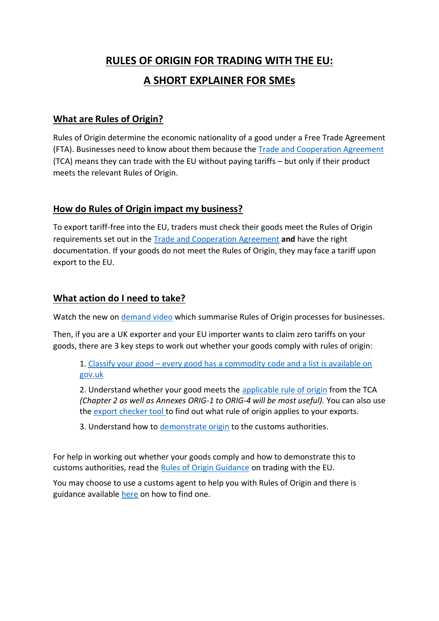# **RULES OF ORIGIN FOR TRADING WITH THE EU: A SHORT EXPLAINER FOR SMEs**

## **What are Rules of Origin?**

Rules of Origin determine the economic nationality of a good under a Free Trade Agreement (FTA). Businesses need to know about them because the [Trade and Cooperation Agreement](https://www.gov.uk/government/publications/agreements-reached-between-the-united-kingdom-of-great-britain-and-northern-ireland-and-the-european-union) (TCA) means they can trade with the EU without paying tariffs – but only if their product meets the relevant Rules of Origin.

#### **How do Rules of Origin impact my business?**

To export tariff-free into the EU, traders must check their goods meet the Rules of Origin requirements set out in the [Trade and Cooperation Agreement](https://www.gov.uk/government/publications/agreements-reached-between-the-united-kingdom-of-great-britain-and-northern-ireland-and-the-european-union) **and** have the right documentation. If your goods do not meet the Rules of Origin, they may face a tariff upon export to the EU.

#### **What action do I need to take?**

Watch the new on [demand video](https://www.workcast.com/ControlUsher.aspx?pak=2807339524439725) which summarise Rules of Origin processes for businesses.

Then, if you are a UK exporter and your EU importer wants to claim zero tariffs on your goods, there are 3 key steps to work out whether your goods comply with rules of origin:

1. [Classify your good](https://www.gov.uk/guidance/finding-commodity-codes-for-imports-or-exports) - every good has a commodity code and a list is available on gov.uk

2. Understand whether your good meets the [applicable rule of origin](https://assets.publishing.service.gov.uk/government/uploads/system/uploads/attachment_data/file/948119/EU-UK_Trade_and_Cooperation_Agreement_24.12.2020.pdf) from the TCA *(Chapter 2 as well as Annexes ORIG-1 to ORIG-4 will be most useful).* You can also use the [export checker tool](https://www.check-duties-customs-exporting-goods.service.gov.uk/selectdest?_ga=2.117968906.241871336.1612191848-1894069220.1600763538) to find out what rule of origin applies to your exports.

3. Understand how to [demonstrate origin](https://www.gov.uk/guidance/using-a-suppliers-declaration-to-support-a-proof-of-origin) to the customs authorities.

For help in working out whether your goods comply and how to demonstrate this to customs authorities, read the [Rules of Origin Guidance](https://www.gov.uk/government/publications/rules-of-origin-for-goods-moving-between-the-uk-and-eu) on trading with the EU.

You may choose to use a customs agent to help you with Rules of Origin and there is guidance available [here](https://www.gov.uk/guidance/appoint-someone-to-deal-with-customs-on-your-behalf) on how to find one.